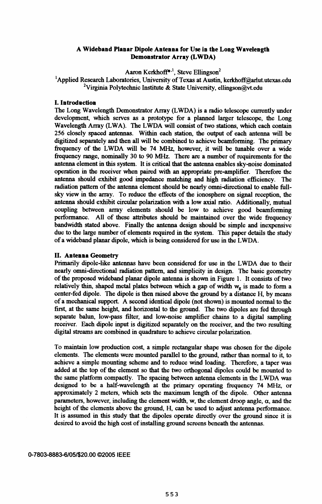# A Wideband Planar Dipole Antenna for Use in the Long Wavelength Demonstrator Array (LWDA)

Aaron Kerkhoff<sup>\*,1</sup>, Steve Ellingson<sup>2</sup>

<sup>1</sup>Applied Research Laboratories, University of Texas at Austin, kerkhoff@arlut.utexas.edu <sup>2</sup>Virginia Polytechnic Institute & State University, ellingson@vt.edu

## I. Introduction

The Long Wavelength Demonstrator Array (LWDA) is a radio telescope currently under development, which serves as a prototype for a planned larger telescope, the Long Wavelength Array (LWA). The LWDA will consist of two stations, which each contain 256 closely spaced antennas. Within each station, the output of each antenna will be digitized separately and then all will be combined to achieve beamforming. The primary frequency of the LWDA will be <sup>74</sup> MHz, however, it will be tunable over <sup>a</sup> wide frequency range, nominally 30 to 90 MHz. There are a number of requirements for the antenna element in this system. It is critical that the antenna enables sky-noise dominated operation in the receiver when paired with an appropriate pre-amplifier. Therefore the antenna should exhibit good impedance matching and high radiation efficiency. The radiation pattern of the antenna element should be nearly omni-directional to enable fullsky view in the array. To reduce the effects of the ionosphere on signal reception, the antenna should exhibit circular polarization with a low axial ratio. Additionally, mutual coupling between array elements should be low to achieve good beamforming performance. All of these attributes should be maintained over the wide frequency bandwidth stated above. Finally the antenna design should be simple and inexpensive due to the large number of elements required in the system. This paper details the study of a wideband planar dipole, which is being considered for use in the LWDA.

# II. Antenna Geometry

Primarily dipole-like antennas have been considered for use in the LWDA due to their nearly omni-directional radiation pattern, and simplicity in design. The basic geometry of the proposed wideband planar dipole antenna is shown in Figure 1. It consists of two relatively thin, shaped metal plates between which a gap of width  $w_g$  is made to form a center-fed dipole. The dipole is then raised above the ground by a distance H, by means of <sup>a</sup> mechanical support. A second identical dipole (not shown) is mounted normal to the first, at the same height, and horizontal to the ground. The two dipoles are fed through separate balun, low-pass filter, and low-noise amplifier chains to a digital sampling receiver. Each dipole input is digitized separately on the receiver, and the two resulting digital streams are combined in quadrature to achieve circular polarization.

To maintain low production cost, a simple rectangular shape was chosen for the dipole elements. The elements were mounted parallel to the ground, rather than normal to it, to achieve a simple mounting scheme and to reduce wind loading. Therefore, a taper was added at the top of the element so that the two orthogonal dipoles could be mounted to the same platform compactly. The spacing between antenna elements in the LWDA was designed to be a half-wavelength at the primary operating frequency 74 MIHz, or approximately 2 meters, which sets the maximum length of the dipole. Other antenna parameters, however, including the element width, w, the element droop angle,  $\alpha$ , and the height of the elements above the ground, H, can be used to adjust antenna performance. It is assumed in this study that the dipoles operate directly over the ground since it is desired to avoid the high cost of installing ground screens beneath the antennas.

### 0-7803-8883-6/05/\$20.00 02005 IEEE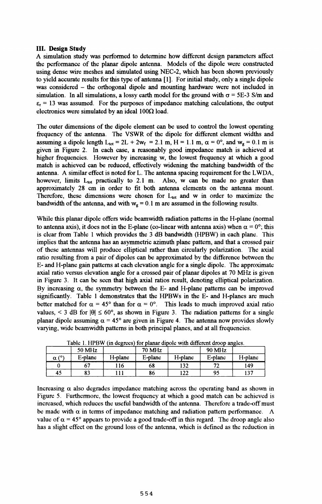## III. Design Study

A simulation study was perfonned to determine how different design parameters affect the performance of the planar dipole antenna. Models of the dipole were constructed using dense wire meshes and simulated using NEC-2, which has been shown previously to yield accurate results for this type of antenna [1]. For initial study, only a single dipole was considered – the orthogonal dipole and mounting hardware were not included in simulation. In all simulations, a lossy earth model for the ground with  $\sigma = 5E-3$  S/m and  $\varepsilon_r = 13$  was assumed. For the purposes of impedance matching calculations, the output electronics were simulated by an ideal  $100\Omega$  load.

The outer dimensions of the dipole element can be used to control the lowest operating frequency of the antenna. The VSWR of the dipole for different element widths and assuming a dipole length  $L_{tot} = 2L + 2w_f = 2.1$  m,  $H = 1.1$  m,  $\alpha = 0^{\circ}$ , and  $w_g = 0.1$  m is given in Figure 2. In each case, a reasonably good impedance match is achieved at higher frequencies. However by increasing w, the lowest frequency at which a good match is achieved can be reduced, effectively widening the matching bandwidth of the antenna. A similar effect is noted for L. The antenna spacing requirement for the LWDA, however, limits  $L_{tot}$  practically to 2.1 m. Also, w can be made no greater than approximately 28 cm in order to fit both antenna elements on the antenna mount. Therefore, these dimensions were chosen for  $L_{tot}$  and w in order to maximize the bandwidth of the antenna, and with  $w_g = 0.1$  m are assumed in the following results.

While this planar dipole offers wide beamwidth radiation pattems in the H-plane (normal to antenna axis), it does not in the E-plane (co-linear with antenna axis) when  $\alpha = 0^{\circ}$ ; this is clear from Table <sup>1</sup> which provides the <sup>3</sup> dB bandwidth (HPBW) in each plane. This implies that the antenna has an asymmetric azimuth plane pattem, and that a crossed pair of these antennas will produce elliptical rather than circularly polarization. The axial ratio resulting from a pair of dipoles can be approximated by the difference between the E- and H-plane gain pattems at each elevation angle for a single dipole. The approximate axial ratio versus elevation angle for <sup>a</sup> crossed pair of planar dipoles at <sup>70</sup> MHz is given in Figure 3. It can be seen that high axial ratios result, denoting elliptical polarization. By increasing  $\alpha$ , the symmetry between the E- and H-plane patterns can be improved significantly. Table <sup>1</sup> demonstrates that the HPBWs in the E- and H-planes are much better matched for  $\alpha = 45^{\circ}$  than for  $\alpha = 0^{\circ}$ . This leads to much improved axial ratio values,  $\leq$  3 dB for  $|\theta| \leq 60^{\circ}$ , as shown in Figure 3. The radiation patterns for a single planar dipole assuming  $\alpha = 45^{\circ}$  are given in Figure 4. The antenna now provides slowly varying, wide beamwidth patterns in both principal planes, and at all frequencies.

| Table 1.111 DW (III degrees) for planar dipole with different droop aligns. |         |         |         |         |         |         |
|-----------------------------------------------------------------------------|---------|---------|---------|---------|---------|---------|
|                                                                             | 50 MHz  |         | 70 MHz  |         | 90 MHz  |         |
| $\alpha$ (°                                                                 | E-plane | H-plane | E-plane | H-plane | E-plane | H-plane |
|                                                                             |         | 16ء     | 68      | 132     | 70      | 149     |
| 45                                                                          | 83      |         | 86      | 122     | 95      | 137     |

Table 1. HPBW (in degrees) for planar dipole with different droop angles.

Increasing  $\alpha$  also degrades impedance matching across the operating band as shown in Figure 5. Furthermore, the lowest frequency at which a good match can be achieved is increased, which reduces the useful bandwidth of the antenna. Therefore a trade-off must be made with  $\alpha$  in terms of impedance matching and radiation pattern performance. A value of  $\alpha = 45^{\circ}$  appears to provide a good trade-off in this regard. The droop angle also has a slight effect on the ground loss of the antenna, which is defined as the reduction in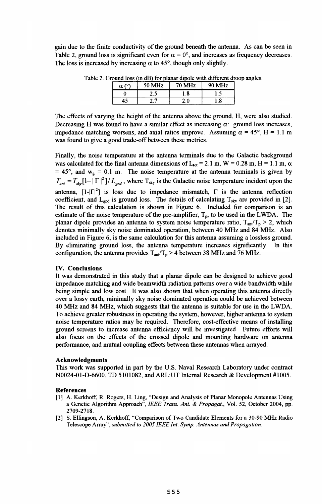gain due to the finite conductivity of the ground beneath the antenna. As can be seen in Table 2, ground loss is significant even for  $\alpha = 0^{\circ}$ , and increases as frequency decreases. The loss is increased by increasing  $\alpha$  to 45°, though only slightly.

|                           |        |               | e. Oroang 1033 (in di) i 101 bianar dibolo widi diricibili dib |  |
|---------------------------|--------|---------------|----------------------------------------------------------------|--|
| $\alpha$ ( <sup>o</sup> ) | 50 MHz | <b>70 MHz</b> | 90 MHz                                                         |  |
|                           |        | l.8           |                                                                |  |
|                           |        | 2.0           |                                                                |  |

Table 2. Ground loss (in dB) for planar dipole with different droop angles.

The effects of varying the height of the antenna above the ground, H, were also studied. Decreasing H was found to have a similar effect as increasing  $\alpha$ : ground loss increases, impedance matching worsens, and axial ratios improve. Assuming  $\alpha = 45^{\circ}$ , H = 1.1 m was found to give a good trade-off between these metrics.

Finally, the noise temperature at the antenna tenninals due to the Galactic background was calculated for the final antenna dimensions of  $L_{tot} = 2.1$  m, W = 0.28 m, H = 1.1 m,  $\alpha$  $= 45^{\circ}$ , and  $w_g = 0.1$  m. The noise temperature at the antenna terminals is given by  $T_{ant} = T_{sh} [1 - |\Gamma|^2]/L_{end}$ , where  $T_{sky}$  is the Galactic noise temperature incident upon the antenna,  $[1-|\Gamma|^2]$  is loss due to impedance mismatch,  $\Gamma$  is the antenna reflection coefficient, and  $L_{gnd}$  is ground loss. The details of calculating  $T_{sky}$  are provided in [2]. The result of this calculation is shown in Figure 6. Included for comparison is an estimate of the noise temperature of the pre-amplifier,  $T_p$ , to be used in the LWDA. The planar dipole provides an antenna to system noise temperature ratio,  $T_{ant}/T_p > 2$ , which denotes minimally sky noise dominated operation, between 40 MHz and <sup>84</sup> MHz. Also included in Figure 6, is the same calculation for this antenna assuming a lossless ground. By eliminating ground loss, the antenna temperature increases significantly. In this configuration, the antenna provides  $T_{ant}/T_p > 4$  between 38 MHz and 76 MHz.

# IV. Conclusions

It was demonstrated in this study that a planar dipole can be designed to achieve good impedance matching and wide beamwidth radiation pattems over a wide bandwidth while being simple and low cost. It was also shown that when operating this antenna directly over a lossy earth, minimally sky noise dominated operation could be achieved between 40 MHz and <sup>84</sup> MHz, which suggests that the antenna is suitable for use in the LWDA. To achieve greater robustness in operating the system, however, higher antenna to system noise temperature ratios may be required. Therefore, cost-effective means of installing ground screens to increase antenna efficiency will be investigated. Future efforts will also focus on the effects of the crossed dipole and mounting hardware on antenna performance, and mutual coupling effects between these antennas when arrayed.

#### Acknowledgments

This work was supported in part by the U.S. Naval Research Laboratory under contract N0024-01-D-6600, TD 5101082, and ARL:UT Intemal Research & Development #1005.

#### References

- [1] A. Kerkhoff, R. Rogers, H. Ling, "Design and Analysis of Planar Monopole Antennas Using <sup>a</sup> Genetic Algorithm Approach", IEEE Trans. Ant. & Propagat., Vol. 52, October 2004, pp. 2709-2718.
- [2] S. Ellingson, A. Kerkhoff, "Comparison of Two Candidate Elements for <sup>a</sup> 30-90 MHz Radio Telescope Array", submitted to 2005 IEEE Int. Symp. Antennas and Propagation.